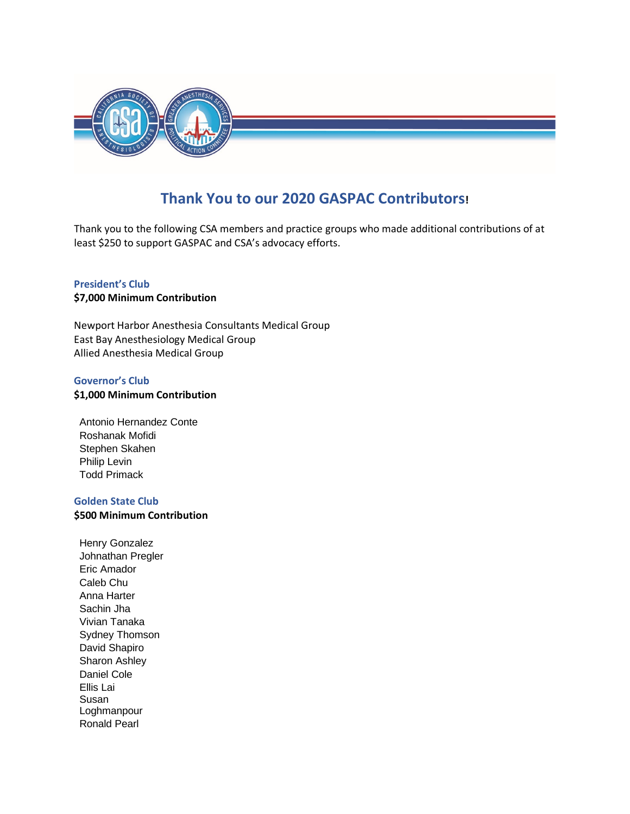

# **Thank You to our 2020 GASPAC Contributors!**

Thank you to the following CSA members and practice groups who made additional contributions of at least \$250 to support GASPAC and CSA's advocacy efforts.

## **President's Club**

### **\$7,000 Minimum Contribution**

Newport Harbor Anesthesia Consultants Medical Group East Bay Anesthesiology Medical Group Allied Anesthesia Medical Group

#### **Governor's Club**

#### **\$1,000 Minimum Contribution**

Antonio Hernandez Conte Roshanak Mofidi Stephen Skahen Philip Levin Todd Primack

#### **Golden State Club**

**\$500 Minimum Contribution** 

Henry Gonzalez Johnathan Pregler Eric Amador Caleb Chu Anna Harter Sachin Jha Vivian Tanaka Sydney Thomson David Shapiro Sharon Ashley Daniel Cole Ellis Lai Susan Loghmanpour Ronald Pearl